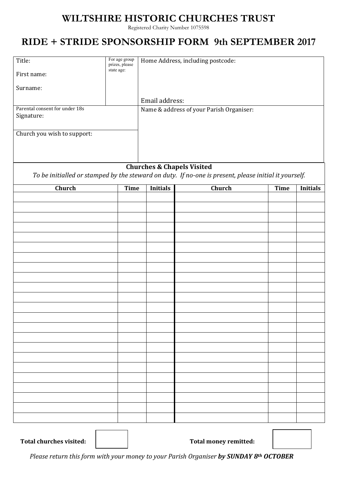## **WILTSHIRE HISTORIC CHURCHES TRUST**

Registered Charity Number 1075598

## **RIDE + STRIDE SPONSORSHIP FORM 9th SEPTEMBER 2017**

| For age group<br>Title:<br>prizes, please<br>state age:<br>First name:<br>Surname:<br>Parental consent for under 18s<br>Signature:<br>Church you wish to support: |             | Home Address, including postcode:<br>Email address:<br>Name & address of your Parish Organiser: |        |             |                 |  |  |  |  |  |
|-------------------------------------------------------------------------------------------------------------------------------------------------------------------|-------------|-------------------------------------------------------------------------------------------------|--------|-------------|-----------------|--|--|--|--|--|
|                                                                                                                                                                   |             |                                                                                                 |        |             |                 |  |  |  |  |  |
| <b>Churches &amp; Chapels Visited</b><br>To be initialled or stamped by the steward on duty. If no-one is present, please initial it yourself.                    |             |                                                                                                 |        |             |                 |  |  |  |  |  |
| Church                                                                                                                                                            | <b>Time</b> | <b>Initials</b>                                                                                 | Church | <b>Time</b> | <b>Initials</b> |  |  |  |  |  |
|                                                                                                                                                                   |             |                                                                                                 |        |             |                 |  |  |  |  |  |
|                                                                                                                                                                   |             |                                                                                                 |        |             |                 |  |  |  |  |  |
|                                                                                                                                                                   |             |                                                                                                 |        |             |                 |  |  |  |  |  |
|                                                                                                                                                                   |             |                                                                                                 |        |             |                 |  |  |  |  |  |
|                                                                                                                                                                   |             |                                                                                                 |        |             |                 |  |  |  |  |  |
|                                                                                                                                                                   |             |                                                                                                 |        |             |                 |  |  |  |  |  |
|                                                                                                                                                                   |             |                                                                                                 |        |             |                 |  |  |  |  |  |
|                                                                                                                                                                   |             |                                                                                                 |        |             |                 |  |  |  |  |  |
|                                                                                                                                                                   |             |                                                                                                 |        |             |                 |  |  |  |  |  |
|                                                                                                                                                                   |             |                                                                                                 |        |             |                 |  |  |  |  |  |
|                                                                                                                                                                   |             |                                                                                                 |        |             |                 |  |  |  |  |  |
|                                                                                                                                                                   |             |                                                                                                 |        |             |                 |  |  |  |  |  |
|                                                                                                                                                                   |             |                                                                                                 |        |             |                 |  |  |  |  |  |
|                                                                                                                                                                   |             |                                                                                                 |        |             |                 |  |  |  |  |  |
|                                                                                                                                                                   |             |                                                                                                 |        |             |                 |  |  |  |  |  |
|                                                                                                                                                                   |             |                                                                                                 |        |             |                 |  |  |  |  |  |
|                                                                                                                                                                   |             |                                                                                                 |        |             |                 |  |  |  |  |  |
|                                                                                                                                                                   |             |                                                                                                 |        |             |                 |  |  |  |  |  |
|                                                                                                                                                                   |             |                                                                                                 |        |             |                 |  |  |  |  |  |
|                                                                                                                                                                   |             |                                                                                                 |        |             |                 |  |  |  |  |  |
|                                                                                                                                                                   |             |                                                                                                 |        |             |                 |  |  |  |  |  |

Total churches visited:  $\parallel$  **Total money remitted:** 



 *Please return this form with your money to your Parish Organiser by SUNDAY 8th OCTOBER*